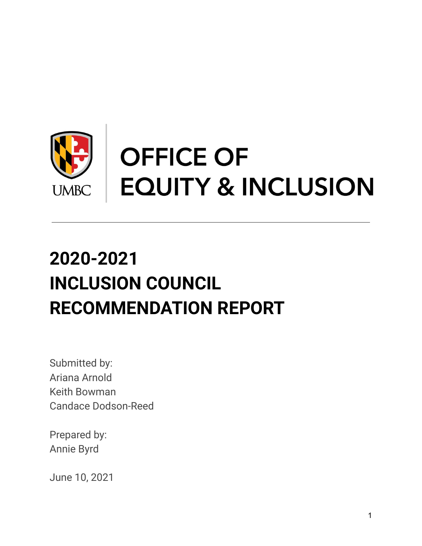

# **2020-2021 INCLUSION COUNCIL RECOMMENDATION REPORT**

Submitted by: Ariana Arnold Keith Bowman Candace Dodson-Reed

Prepared by: Annie Byrd

June 10, 2021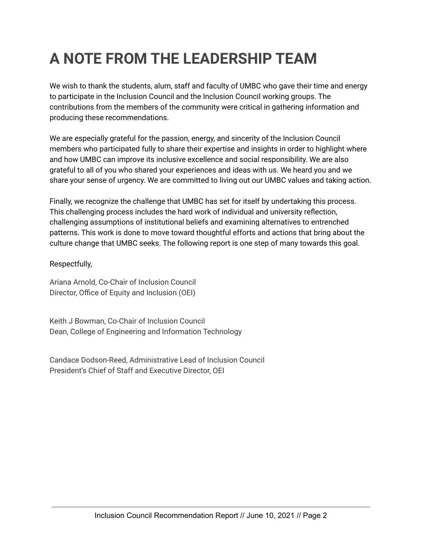# **A NOTE FROM THE LEADERSHIP TEAM**

We wish to thank the students, alum, staff and faculty of UMBC who gave their time and energy to participate in the Inclusion Council and the Inclusion Council working groups. The contributions from the members of the community were critical in gathering information and producing these recommendations.

We are especially grateful for the passion, energy, and sincerity of the Inclusion Council members who participated fully to share their expertise and insights in order to highlight where and how UMBC can improve its inclusive excellence and social responsibility. We are also grateful to all of you who shared your experiences and ideas with us. We heard you and we share your sense of urgency. We are committed to living out our UMBC values and taking action.

Finally, we recognize the challenge that UMBC has set for itself by undertaking this process. This challenging process includes the hard work of individual and university reflection, challenging assumptions of institutional beliefs and examining alternatives to entrenched patterns. This work is done to move toward thoughtful efforts and actions that bring about the culture change that UMBC seeks. The following report is one step of many towards this goal.

Respectfully,

Ariana Arnold, Co-Chair of Inclusion Council Director, Office of Equity and Inclusion (OEI)

Keith J Bowman, Co-Chair of Inclusion Council Dean, College of Engineering and Information Technology

Candace Dodson-Reed, Administrative Lead of Inclusion Council President's Chief of Staff and Executive Director, OEI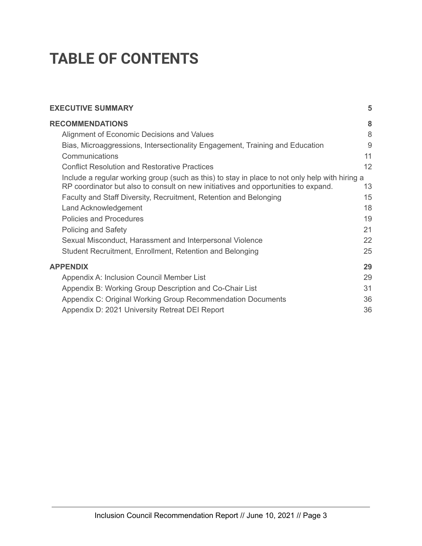# **TABLE OF CONTENTS**

| <b>EXECUTIVE SUMMARY</b>                                                                                                                                                             | 5  |
|--------------------------------------------------------------------------------------------------------------------------------------------------------------------------------------|----|
| <b>RECOMMENDATIONS</b>                                                                                                                                                               | 8  |
| Alignment of Economic Decisions and Values                                                                                                                                           | 8  |
| Bias, Microaggressions, Intersectionality Engagement, Training and Education                                                                                                         | 9  |
| Communications                                                                                                                                                                       | 11 |
| <b>Conflict Resolution and Restorative Practices</b>                                                                                                                                 | 12 |
| Include a regular working group (such as this) to stay in place to not only help with hiring a<br>RP coordinator but also to consult on new initiatives and opportunities to expand. | 13 |
| Faculty and Staff Diversity, Recruitment, Retention and Belonging                                                                                                                    | 15 |
| Land Acknowledgement                                                                                                                                                                 | 18 |
| <b>Policies and Procedures</b>                                                                                                                                                       | 19 |
| <b>Policing and Safety</b>                                                                                                                                                           | 21 |
| Sexual Misconduct, Harassment and Interpersonal Violence                                                                                                                             | 22 |
| Student Recruitment, Enrollment, Retention and Belonging                                                                                                                             | 25 |
| <b>APPENDIX</b>                                                                                                                                                                      | 29 |
| Appendix A: Inclusion Council Member List                                                                                                                                            | 29 |
| Appendix B: Working Group Description and Co-Chair List                                                                                                                              | 31 |
| Appendix C: Original Working Group Recommendation Documents                                                                                                                          | 36 |
| Appendix D: 2021 University Retreat DEI Report                                                                                                                                       | 36 |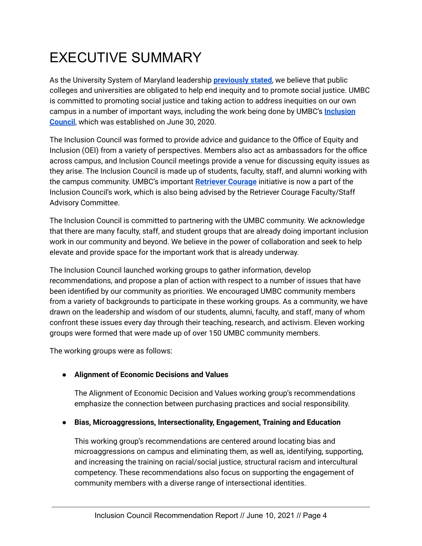# EXECUTIVE SUMMARY

As the University System of Maryland leadership **[previously](https://t.e2ma.net/click/30fk9e/vyk0cbc/r35sr1) stated**, we believe that public colleges and universities are obligated to help end inequity and to promote social justice. UMBC is committed to promoting social justice and taking action to address inequities on our own campus in a number of important ways, including the work being done by UMBC's **[Inclusion](https://t.e2ma.net/click/30fk9e/vyk0cbc/7v6sr1) [Council](https://t.e2ma.net/click/30fk9e/vyk0cbc/7v6sr1)**, which was established on June 30, 2020.

The Inclusion Council was formed to provide advice and guidance to the Office of Equity and Inclusion (OEI) from a variety of perspectives. Members also act as ambassadors for the office across campus, and Inclusion Council meetings provide a venue for discussing equity issues as they arise. The Inclusion Council is made up of students, faculty, staff, and alumni working with the campus community. UMBC's important **[Retriever](https://t.e2ma.net/click/30fk9e/vyk0cbc/no7sr1) Courage** initiative is now a part of the Inclusion Council's work, which is also being advised by the Retriever Courage Faculty/Staff Advisory Committee.

The Inclusion Council is committed to partnering with the UMBC community. We acknowledge that there are many faculty, staff, and student groups that are already doing important inclusion work in our community and beyond. We believe in the power of collaboration and seek to help elevate and provide space for the important work that is already underway.

The Inclusion Council launched working groups to gather information, develop recommendations, and propose a plan of action with respect to a number of issues that have been identified by our community as priorities. We encouraged UMBC community members from a variety of backgrounds to participate in these working groups. As a community, we have drawn on the leadership and wisdom of our students, alumni, faculty, and staff, many of whom confront these issues every day through their teaching, research, and activism. Eleven working groups were formed that were made up of over 150 UMBC community members.

The working groups were as follows:

# **● Alignment of Economic Decisions and Values**

The Alignment of Economic Decision and Values working group's recommendations emphasize the connection between purchasing practices and social responsibility.

# **● Bias, Microaggressions, Intersectionality, Engagement, Training and Education**

This working group's recommendations are centered around locating bias and microaggressions on campus and eliminating them, as well as, identifying, supporting, and increasing the training on racial/social justice, structural racism and intercultural competency. These recommendations also focus on supporting the engagement of community members with a diverse range of intersectional identities.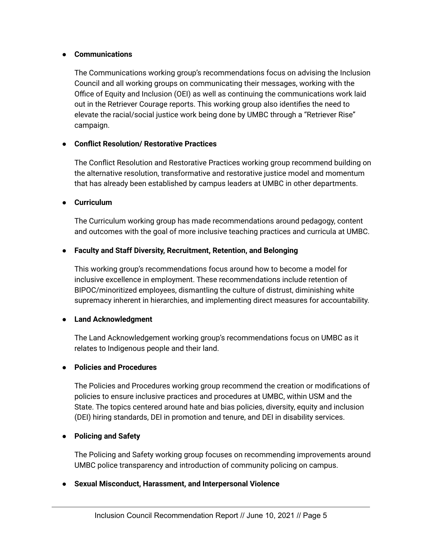#### **● Communications**

The Communications working group's recommendations focus on advising the Inclusion Council and all working groups on communicating their messages, working with the Office of Equity and Inclusion (OEI) as well as continuing the communications work laid out in the Retriever Courage reports. This working group also identifies the need to elevate the racial/social justice work being done by UMBC through a "Retriever Rise" campaign.

# **● Conflict Resolution/ Restorative Practices**

The Conflict Resolution and Restorative Practices working group recommend building on the alternative resolution, transformative and restorative justice model and momentum that has already been established by campus leaders at UMBC in other departments.

#### **● Curriculum**

The Curriculum working group has made recommendations around pedagogy, content and outcomes with the goal of more inclusive teaching practices and curricula at UMBC.

# **● Faculty and Staff Diversity, Recruitment, Retention, and Belonging**

This working group's recommendations focus around how to become a model for inclusive excellence in employment. These recommendations include retention of BIPOC/minoritized employees, dismantling the culture of distrust, diminishing white supremacy inherent in hierarchies, and implementing direct measures for accountability.

# **● Land Acknowledgment**

The Land Acknowledgement working group's recommendations focus on UMBC as it relates to Indigenous people and their land.

# **● Policies and Procedures**

The Policies and Procedures working group recommend the creation or modifications of policies to ensure inclusive practices and procedures at UMBC, within USM and the State. The topics centered around hate and bias policies, diversity, equity and inclusion (DEI) hiring standards, DEI in promotion and tenure, and DEI in disability services.

# **● Policing and Safety**

The Policing and Safety working group focuses on recommending improvements around UMBC police transparency and introduction of community policing on campus.

# **● Sexual Misconduct, Harassment, and Interpersonal Violence**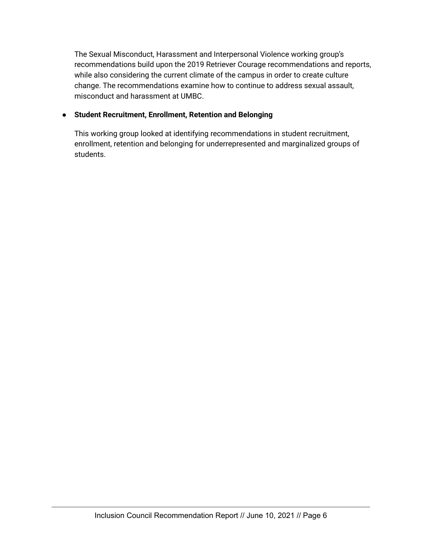The Sexual Misconduct, Harassment and Interpersonal Violence working group's recommendations build upon the 2019 Retriever Courage recommendations and reports, while also considering the current climate of the campus in order to create culture change. The recommendations examine how to continue to address sexual assault, misconduct and harassment at UMBC.

# **● Student Recruitment, Enrollment, Retention and Belonging**

This working group looked at identifying recommendations in student recruitment, enrollment, retention and belonging for underrepresented and marginalized groups of students.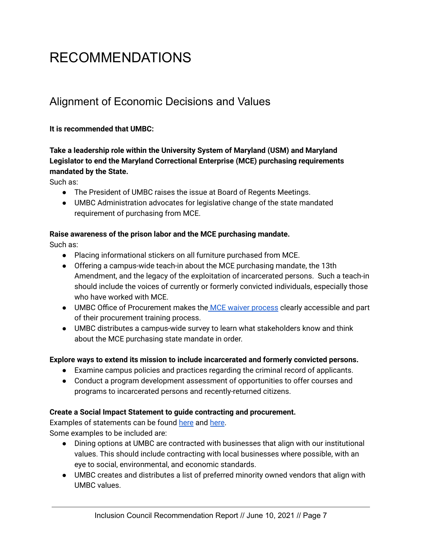# <span id="page-6-0"></span>RECOMMENDATIONS

# <span id="page-6-1"></span>Alignment of Economic Decisions and Values

# **It is recommended that UMBC:**

# **Take a leadership role within the University System of Maryland (USM) and Maryland Legislator to end the Maryland Correctional Enterprise (MCE) purchasing requirements mandated by the State.**

Such as:

- The President of UMBC raises the issue at Board of Regents Meetings.
- UMBC Administration advocates for legislative change of the state mandated requirement of purchasing from MCE.

# **Raise awareness of the prison labor and the MCE purchasing mandate.**

Such as:

- Placing informational stickers on all furniture purchased from MCE.
- Offering a campus-wide teach-in about the MCE purchasing mandate, the 13th Amendment, and the legacy of the exploitation of incarcerated persons. Such a teach-in should include the voices of currently or formerly convicted individuals, especially those who have worked with MCE.
- UMBC Office of Procurement makes the MCE waiver [process](https://procurement.umbc.edu/files/2019/06/MCE-Web-site-waiver.pdf) clearly accessible and part of their procurement training process.
- UMBC distributes a campus-wide survey to learn what stakeholders know and think about the MCE purchasing state mandate in order.

# **Explore ways to extend its mission to include incarcerated and formerly convicted persons.**

- Examine campus policies and practices regarding the criminal record of applicants.
- Conduct a program development assessment of opportunities to offer courses and programs to incarcerated persons and recently-returned citizens.

# **Create a Social Impact Statement to guide contracting and procurement.**

Examples of statements can be found [here](https://asvb.com.au/social-impact-value/social-procurement/) and [here](https://www2.gov.bc.ca/gov/content/governments/services-for-government/bc-bid-resources/reference-resources/social-impact-procurement-guidelines). Some examples to be included are:

- Dining options at UMBC are contracted with businesses that align with our institutional values. This should include contracting with local businesses where possible, with an eye to social, environmental, and economic standards.
- UMBC creates and distributes a list of preferred minority owned vendors that align with UMBC values.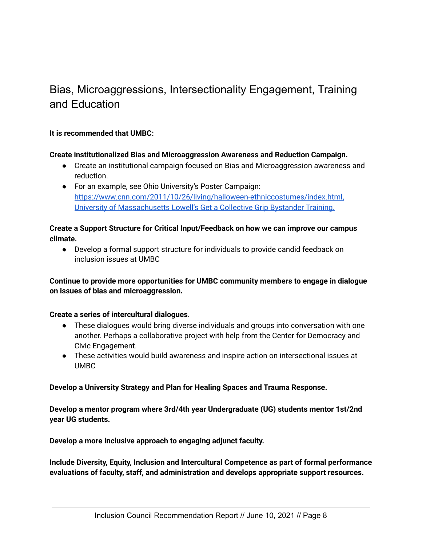# <span id="page-7-0"></span>Bias, Microaggressions, Intersectionality Engagement, Training and Education

# **It is recommended that UMBC:**

#### **Create institutionalized Bias and Microaggression Awareness and Reduction Campaign.**

- Create an institutional campaign focused on Bias and Microaggression awareness and reduction.
- For an example, see Ohio University's Poster Campaign[:](https://www.cnn.com/2011/10/26/living/halloween-ethnic-costumes/index.html) [https://www.cnn.com/2011/10/26/living/halloween-ethniccostumes/index.html,](https://www.cnn.com/2011/10/26/living/halloween-ethnic-costumes/index.html) University of [Massachusetts](https://www.uml.edu/research/advance/initiatives/bystander-training/) Lowell's Get a Collective Grip Bystander Training.

#### **Create a Support Structure for Critical Input/Feedback on how we can improve our campus climate.**

● Develop a formal support structure for individuals to provide candid feedback on inclusion issues at UMBC

# **Continue to provide more opportunities for UMBC community members to engage in dialogue on issues of bias and microaggression.**

# **Create a series of intercultural dialogues**.

- These dialogues would bring diverse individuals and groups into conversation with one another. Perhaps a collaborative project with help from the Center for Democracy and Civic Engagement.
- These activities would build awareness and inspire action on intersectional issues at UMBC

#### **Develop a University Strategy and Plan for Healing Spaces and Trauma Response.**

**Develop a mentor program where 3rd/4th year Undergraduate (UG) students mentor 1st/2nd year UG students.**

**Develop a more inclusive approach to engaging adjunct faculty.**

**Include Diversity, Equity, Inclusion and Intercultural Competence as part of formal performance evaluations of faculty, staff, and administration and develops appropriate support resources.**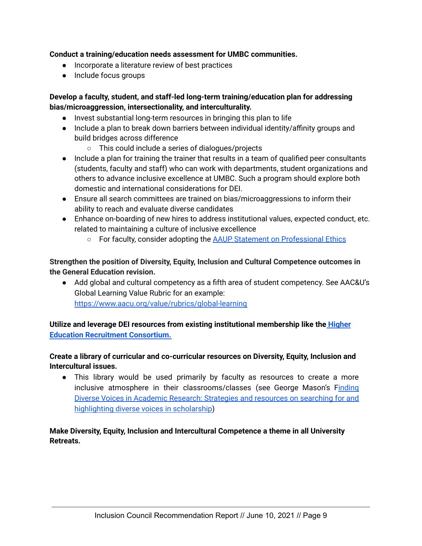# **Conduct a training/education needs assessment for UMBC communities.**

- Incorporate a literature review of best practices
- Include focus groups

# **Develop a faculty, student, and staff-led long-term training/education plan for addressing bias/microaggression, intersectionality, and interculturality.**

- Invest substantial long-term resources in bringing this plan to life
- Include a plan to break down barriers between individual identity/affinity groups and build bridges across difference
	- This could include a series of dialogues/projects
- Include a plan for training the trainer that results in a team of qualified peer consultants (students, faculty and staff) who can work with departments, student organizations and others to advance inclusive excellence at UMBC. Such a program should explore both domestic and international considerations for DEI.
- Ensure all search committees are trained on bias/microaggressions to inform their ability to reach and evaluate diverse candidates
- Enhance on-boarding of new hires to address institutional values, expected conduct, etc. related to maintaining a culture of inclusive excellence
	- For faculty, consider adopting the AAUP Statement on [Professional](https://www.aaup.org/report/statement-professional-ethics) Ethics

**Strengthen the position of Diversity, Equity, Inclusion and Cultural Competence outcomes in the General Education revision.**

● Add global and cultural competency as a fifth area of student competency. See AAC&U's Global Learning Value Rubric for an example[:](https://www.aacu.org/value/rubrics/global-learning) <https://www.aacu.org/value/rubrics/global-learning>

**Utilize and leverage DEI resources from existing institutional membership like the [Higher](https://member.hercjobs.org/home) Education Recruitment [Consortium.](https://member.hercjobs.org/home)**

# **Create a library of curricular and co-curricular resources on Diversity, Equity, Inclusion and Intercultural issues.**

● This library would be used primarily by faculty as resources to create a more inclusive atmosphere in their classrooms/classes (see George Mason's [Finding](https://infoguides.gmu.edu/diversevoices) Diverse Voices in Academic Research: [Strategies](https://infoguides.gmu.edu/diversevoices) and resources on searching for and highlighting diverse voices in [scholarship\)](https://infoguides.gmu.edu/diversevoices)

# **Make Diversity, Equity, Inclusion and Intercultural Competence a theme in all University Retreats.**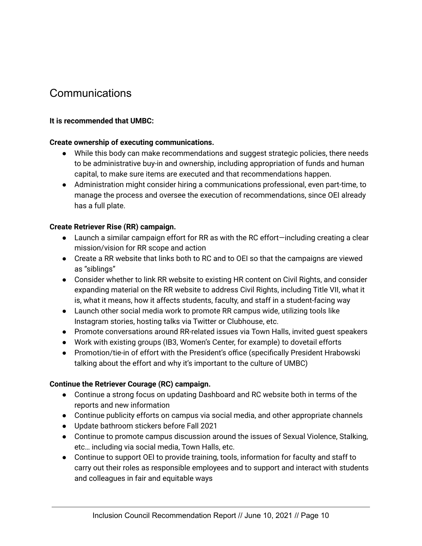# <span id="page-9-0"></span>**Communications**

# **It is recommended that UMBC:**

# **Create ownership of executing communications.**

- While this body can make recommendations and suggest strategic policies, there needs to be administrative buy-in and ownership, including appropriation of funds and human capital, to make sure items are executed and that recommendations happen.
- Administration might consider hiring a communications professional, even part-time, to manage the process and oversee the execution of recommendations, since OEI already has a full plate.

# **Create Retriever Rise (RR) campaign.**

- Launch a similar campaign effort for RR as with the RC effort—including creating a clear mission/vision for RR scope and action
- Create a RR website that links both to RC and to OEI so that the campaigns are viewed as "siblings"
- Consider whether to link RR website to existing HR content on Civil Rights, and consider expanding material on the RR website to address Civil Rights, including Title VII, what it is, what it means, how it affects students, faculty, and staff in a student-facing way
- Launch other social media work to promote RR campus wide, utilizing tools like Instagram stories, hosting talks via Twitter or Clubhouse, etc.
- Promote conversations around RR-related issues via Town Halls, invited quest speakers
- Work with existing groups (IB3, Women's Center, for example) to dovetail efforts
- Promotion/tie-in of effort with the President's office (specifically President Hrabowski talking about the effort and why it's important to the culture of UMBC)

# **Continue the Retriever Courage (RC) campaign.**

- Continue a strong focus on updating Dashboard and RC website both in terms of the reports and new information
- Continue publicity efforts on campus via social media, and other appropriate channels
- Update bathroom stickers before Fall 2021
- Continue to promote campus discussion around the issues of Sexual Violence, Stalking, etc… including via social media, Town Halls, etc.
- Continue to support OEI to provide training, tools, information for faculty and staff to carry out their roles as responsible employees and to support and interact with students and colleagues in fair and equitable ways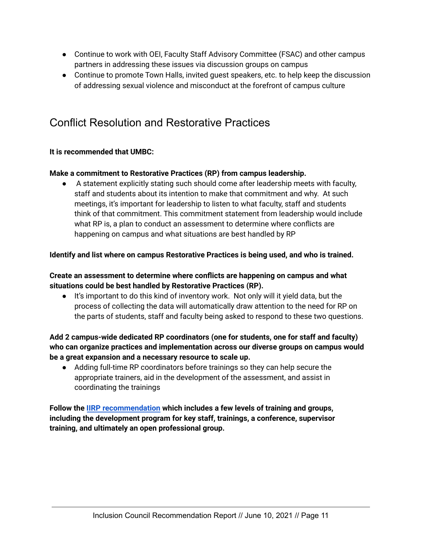- Continue to work with OEI, Faculty Staff Advisory Committee (FSAC) and other campus partners in addressing these issues via discussion groups on campus
- Continue to promote Town Halls, invited guest speakers, etc. to help keep the discussion of addressing sexual violence and misconduct at the forefront of campus culture

# <span id="page-10-0"></span>Conflict Resolution and Restorative Practices

# **It is recommended that UMBC:**

# **Make a commitment to Restorative Practices (RP) from campus leadership.**

● A statement explicitly stating such should come after leadership meets with faculty, staff and students about its intention to make that commitment and why. At such meetings, it's important for leadership to listen to what faculty, staff and students think of that commitment. This commitment statement from leadership would include what RP is, a plan to conduct an assessment to determine where conflicts are happening on campus and what situations are best handled by RP

# **Identify and list where on campus Restorative Practices is being used, and who is trained.**

# **Create an assessment to determine where conflicts are happening on campus and what situations could be best handled by Restorative Practices (RP).**

● It's important to do this kind of inventory work. Not only will it yield data, but the process of collecting the data will automatically draw attention to the need for RP on the parts of students, staff and faculty being asked to respond to these two questions.

# **Add 2 campus-wide dedicated RP coordinators (one for students, one for staff and faculty) who can organize practices and implementation across our diverse groups on campus would be a great expansion and a necessary resource to scale up.**

● Adding full-time RP coordinators before trainings so they can help secure the appropriate trainers, aid in the development of the assessment, and assist in coordinating the trainings

**Follow the IIRP [recommendation](https://www.iirp.edu/news/restorative-practices-in-business-building-a-community-for-learning-and-change-within-organizations) which includes a few levels of training and groups, including the development program for key staff, trainings, a conference, supervisor training, and ultimately an open professional group.**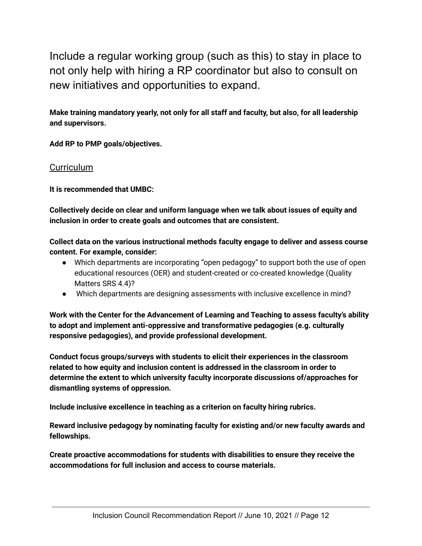<span id="page-11-0"></span>Include a regular working group (such as this) to stay in place to not only help with hiring a RP coordinator but also to consult on new initiatives and opportunities to expand.

**Make training mandatory yearly, not only for all staff and faculty, but also, for all leadership and supervisors.**

**Add RP to PMP goals/objectives.**

# **Curriculum**

**It is recommended that UMBC:**

**Collectively decide on clear and uniform language when we talk about issues of equity and inclusion in order to create goals and outcomes that are consistent.**

**Collect data on the various instructional methods faculty engage to deliver and assess course content. For example, consider:**

- Which departments are incorporating "open pedagogy" to support both the use of open educational resources (OER) and student-created or co-created knowledge (Quality Matters SRS 4.4)?
- Which departments are designing assessments with inclusive excellence in mind?

**Work with the Center for the Advancement of Learning and Teaching to assess faculty's ability to adopt and implement anti-oppressive and transformative pedagogies (e.g. culturally responsive pedagogies), and provide professional development.**

**Conduct focus groups/surveys with students to elicit their experiences in the classroom related to how equity and inclusion content is addressed in the classroom in order to determine the extent to which university faculty incorporate discussions of/approaches for dismantling systems of oppression.**

**Include inclusive excellence in teaching as a criterion on faculty hiring rubrics.**

**Reward inclusive pedagogy by nominating faculty for existing and/or new faculty awards and fellowships.**

**Create proactive accommodations for students with disabilities to ensure they receive the accommodations for full inclusion and access to course materials.**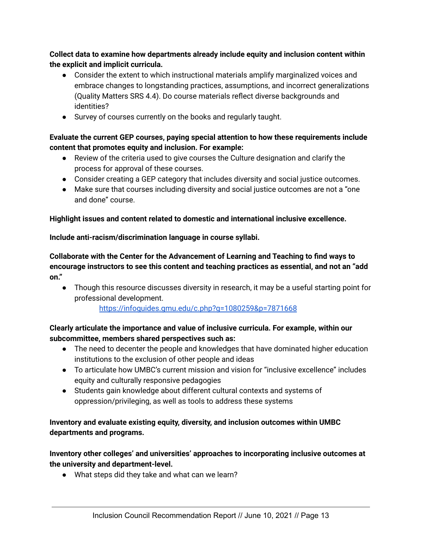**Collect data to examine how departments already include equity and inclusion content within the explicit and implicit curricula.**

- Consider the extent to which instructional materials amplify marginalized voices and embrace changes to longstanding practices, assumptions, and incorrect generalizations (Quality Matters SRS 4.4). Do course materials reflect diverse backgrounds and identities?
- Survey of courses currently on the books and regularly taught.

# **Evaluate the current GEP courses, paying special attention to how these requirements include content that promotes equity and inclusion. For example:**

- Review of the criteria used to give courses the Culture designation and clarify the process for approval of these courses.
- Consider creating a GEP category that includes diversity and social justice outcomes.
- Make sure that courses including diversity and social justice outcomes are not a "one and done" course.

# **Highlight issues and content related to domestic and international inclusive excellence.**

**Include anti-racism/discrimination language in course syllabi.**

**Collaborate with the Center for the Advancement of Learning and Teaching to find ways to encourage instructors to see this content and teaching practices as essential, and not an "add on."**

● Though this resource discusses diversity in research, it may be a useful starting point for professional development.

https://infoguides.gmu.edu/c.php?g=1080259&p=7871668

# **Clearly articulate the importance and value of inclusive curricula. For example, within our subcommittee, members shared perspectives such as:**

- The need to decenter the people and knowledges that have dominated higher education institutions to the exclusion of other people and ideas
- To articulate how UMBC's current mission and vision for "inclusive excellence" includes equity and culturally responsive pedagogies
- Students gain knowledge about different cultural contexts and systems of oppression/privileging, as well as tools to address these systems

# **Inventory and evaluate existing equity, diversity, and inclusion outcomes within UMBC departments and programs.**

**Inventory other colleges' and universities' approaches to incorporating inclusive outcomes at the university and department-level.**

● What steps did they take and what can we learn?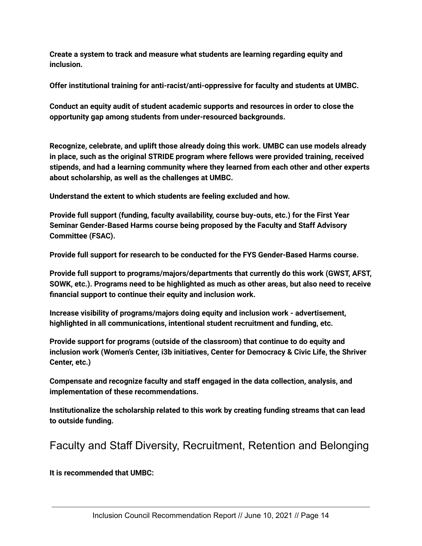**Create a system to track and measure what students are learning regarding equity and inclusion.**

**Offer institutional training for anti-racist/anti-oppressive for faculty and students at UMBC.**

**Conduct an equity audit of student academic supports and resources in order to close the opportunity gap among students from under-resourced backgrounds.**

**Recognize, celebrate, and uplift those already doing this work. UMBC can use models already in place, such as the original STRIDE program where fellows were provided training, received stipends, and had a learning community where they learned from each other and other experts about scholarship, as well as the challenges at UMBC.**

**Understand the extent to which students are feeling excluded and how.**

**Provide full support (funding, faculty availability, course buy-outs, etc.) for the First Year Seminar Gender-Based Harms course being proposed by the Faculty and Staff Advisory Committee (FSAC).**

**Provide full support for research to be conducted for the FYS Gender-Based Harms course.**

**Provide full support to programs/majors/departments that currently do this work (GWST, AFST, SOWK, etc.). Programs need to be highlighted as much as other areas, but also need to receive financial support to continue their equity and inclusion work.**

**Increase visibility of programs/majors doing equity and inclusion work - advertisement, highlighted in all communications, intentional student recruitment and funding, etc.**

**Provide support for programs (outside of the classroom) that continue to do equity and inclusion work (Women's Center, i3b initiatives, Center for Democracy & Civic Life, the Shriver Center, etc.)**

**Compensate and recognize faculty and staff engaged in the data collection, analysis, and implementation of these recommendations.**

**Institutionalize the scholarship related to this work by creating funding streams that can lead to outside funding.**

# <span id="page-13-0"></span>Faculty and Staff Diversity, Recruitment, Retention and Belonging

**It is recommended that UMBC:**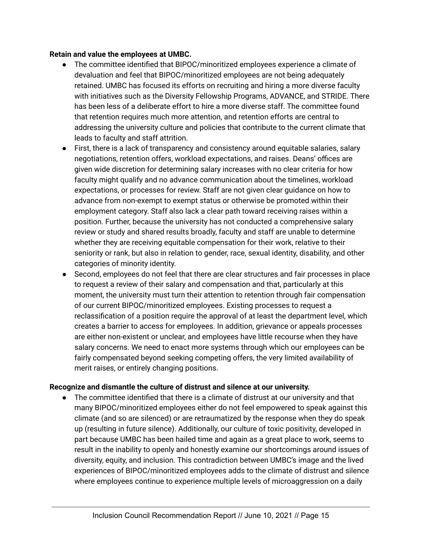#### **Retain and value the employees at UMBC.**

- The committee identified that BIPOC/minoritized employees experience a climate of devaluation and feel that BIPOC/minoritized employees are not being adequately retained. UMBC has focused its efforts on recruiting and hiring a more diverse faculty with initiatives such as the Diversity Fellowship Programs, ADVANCE, and STRIDE. There has been less of a deliberate effort to hire a more diverse staff. The committee found that retention requires much more attention, and retention efforts are central to addressing the university culture and policies that contribute to the current climate that leads to faculty and staff attrition.
- First, there is a lack of transparency and consistency around equitable salaries, salary negotiations, retention offers, workload expectations, and raises. Deans' offices are given wide discretion for determining salary increases with no clear criteria for how faculty might qualify and no advance communication about the timelines, workload expectations, or processes for review. Staff are not given clear guidance on how to advance from non-exempt to exempt status or otherwise be promoted within their employment category. Staff also lack a clear path toward receiving raises within a position. Further, because the university has not conducted a comprehensive salary review or study and shared results broadly, faculty and staff are unable to determine whether they are receiving equitable compensation for their work, relative to their seniority or rank, but also in relation to gender, race, sexual identity, disability, and other categories of minority identity.
- Second, employees do not feel that there are clear structures and fair processes in place to request a review of their salary and compensation and that, particularly at this moment, the university must turn their attention to retention through fair compensation of our current BIPOC/minoritized employees. Existing processes to request a reclassification of a position require the approval of at least the department level, which creates a barrier to access for employees. In addition, grievance or appeals processes are either non-existent or unclear, and employees have little recourse when they have salary concerns. We need to enact more systems through which our employees can be fairly compensated beyond seeking competing offers, the very limited availability of merit raises, or entirely changing positions.

# **Recognize and dismantle the culture of distrust and silence at our university.**

● The committee identified that there is a climate of distrust at our university and that many BIPOC/minoritized employees either do not feel empowered to speak against this climate (and so are silenced) or are retraumatized by the response when they do speak up (resulting in future silence). Additionally, our culture of toxic positivity, developed in part because UMBC has been hailed time and again as a great place to work, seems to result in the inability to openly and honestly examine our shortcomings around issues of diversity, equity, and inclusion. This contradiction between UMBC's image and the lived experiences of BIPOC/minoritized employees adds to the climate of distrust and silence where employees continue to experience multiple levels of microaggression on a daily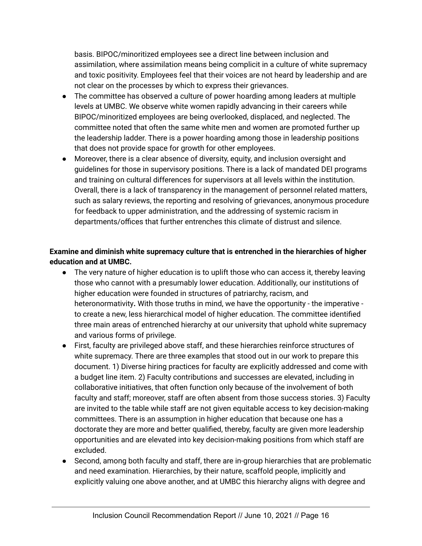basis. BIPOC/minoritized employees see a direct line between inclusion and assimilation, where assimilation means being complicit in a culture of white supremacy and toxic positivity. Employees feel that their voices are not heard by leadership and are not clear on the processes by which to express their grievances.

- The committee has observed a culture of power hoarding among leaders at multiple levels at UMBC. We observe white women rapidly advancing in their careers while BIPOC/minoritized employees are being overlooked, displaced, and neglected. The committee noted that often the same white men and women are promoted further up the leadership ladder. There is a power hoarding among those in leadership positions that does not provide space for growth for other employees.
- Moreover, there is a clear absence of diversity, equity, and inclusion oversight and guidelines for those in supervisory positions. There is a lack of mandated DEI programs and training on cultural differences for supervisors at all levels within the institution. Overall, there is a lack of transparency in the management of personnel related matters, such as salary reviews, the reporting and resolving of grievances, anonymous procedure for feedback to upper administration, and the addressing of systemic racism in departments/offices that further entrenches this climate of distrust and silence.

# **Examine and diminish white supremacy culture that is entrenched in the hierarchies of higher education and at UMBC.**

- **●** The very nature of higher education is to uplift those who can access it, thereby leaving those who cannot with a presumably lower education. Additionally, our institutions of higher education were founded in structures of patriarchy, racism, and heteronormativity**.** With those truths in mind, we have the opportunity - the imperative to create a new, less hierarchical model of higher education. The committee identified three main areas of entrenched hierarchy at our university that uphold white supremacy and various forms of privilege.
- First, faculty are privileged above staff, and these hierarchies reinforce structures of white supremacy. There are three examples that stood out in our work to prepare this document. 1) Diverse hiring practices for faculty are explicitly addressed and come with a budget line item. 2) Faculty contributions and successes are elevated, including in collaborative initiatives, that often function only because of the involvement of both faculty and staff; moreover, staff are often absent from those success stories. 3) Faculty are invited to the table while staff are not given equitable access to key decision-making committees. There is an assumption in higher education that because one has a doctorate they are more and better qualified, thereby, faculty are given more leadership opportunities and are elevated into key decision-making positions from which staff are excluded.
- Second, among both faculty and staff, there are in-group hierarchies that are problematic and need examination. Hierarchies, by their nature, scaffold people, implicitly and explicitly valuing one above another, and at UMBC this hierarchy aligns with degree and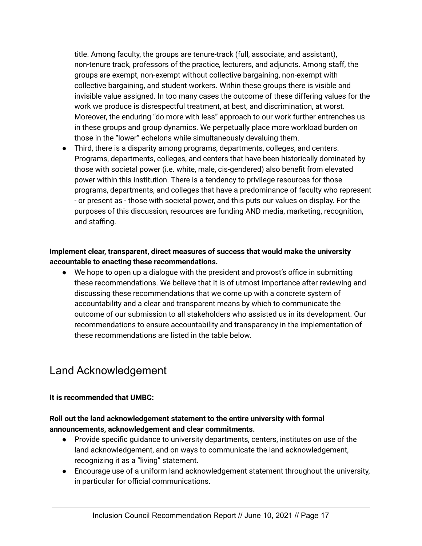title. Among faculty, the groups are tenure-track (full, associate, and assistant), non-tenure track, professors of the practice, lecturers, and adjuncts. Among staff, the groups are exempt, non-exempt without collective bargaining, non-exempt with collective bargaining, and student workers. Within these groups there is visible and invisible value assigned. In too many cases the outcome of these differing values for the work we produce is disrespectful treatment, at best, and discrimination, at worst. Moreover, the enduring "do more with less" approach to our work further entrenches us in these groups and group dynamics. We perpetually place more workload burden on those in the "lower" echelons while simultaneously devaluing them.

● Third, there is a disparity among programs, departments, colleges, and centers. Programs, departments, colleges, and centers that have been historically dominated by those with societal power (i.e. white, male, cis-gendered) also benefit from elevated power within this institution. There is a tendency to privilege resources for those programs, departments, and colleges that have a predominance of faculty who represent - or present as - those with societal power, and this puts our values on display. For the purposes of this discussion, resources are funding AND media, marketing, recognition, and staffing.

# **Implement clear, transparent, direct measures of success that would make the university accountable to enacting these recommendations.**

● We hope to open up a dialogue with the president and provost's office in submitting these recommendations. We believe that it is of utmost importance after reviewing and discussing these recommendations that we come up with a concrete system of accountability and a clear and transparent means by which to communicate the outcome of our submission to all stakeholders who assisted us in its development. Our recommendations to ensure accountability and transparency in the implementation of these recommendations are listed in the table below.

# <span id="page-16-0"></span>Land Acknowledgement

# **It is recommended that UMBC:**

# **Roll out the land acknowledgement statement to the entire university with formal announcements, acknowledgement and clear commitments.**

- Provide specific guidance to university departments, centers, institutes on use of the land acknowledgement, and on ways to communicate the land acknowledgement, recognizing it as a "living" statement.
- Encourage use of a uniform land acknowledgement statement throughout the university, in particular for official communications.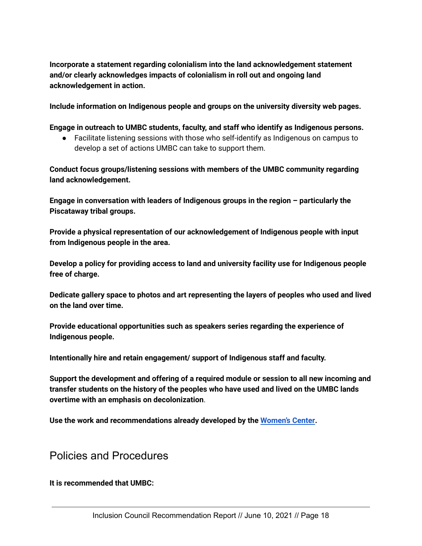**Incorporate a statement regarding colonialism into the land acknowledgement statement and/or clearly acknowledges impacts of colonialism in roll out and ongoing land acknowledgement in action.**

**Include information on Indigenous people and groups on the university diversity web pages.**

**Engage in outreach to UMBC students, faculty, and staff who identify as Indigenous persons.**

● Facilitate listening sessions with those who self-identify as Indigenous on campus to develop a set of actions UMBC can take to support them.

**Conduct focus groups/listening sessions with members of the UMBC community regarding land acknowledgement.**

**Engage in conversation with leaders of Indigenous groups in the region – particularly the Piscataway tribal groups.**

**Provide a physical representation of our acknowledgement of Indigenous people with input from Indigenous people in the area.**

**Develop a policy for providing access to land and university facility use for Indigenous people free of charge.**

**Dedicate gallery space to photos and art representing the layers of peoples who used and lived on the land over time.**

**Provide educational opportunities such as speakers series regarding the experience of Indigenous people.**

**Intentionally hire and retain engagement/ support of Indigenous staff and faculty.**

**Support the development and offering of a required module or session to all new incoming and transfer students on the history of the peoples who have used and lived on the UMBC lands overtime with an emphasis on decolonization**.

**Use the work and recommendations already developed by the [Women's](https://my3.my.umbc.edu/groups/womenscenter/posts/96574) Center.**

# <span id="page-17-0"></span>Policies and Procedures

**It is recommended that UMBC:**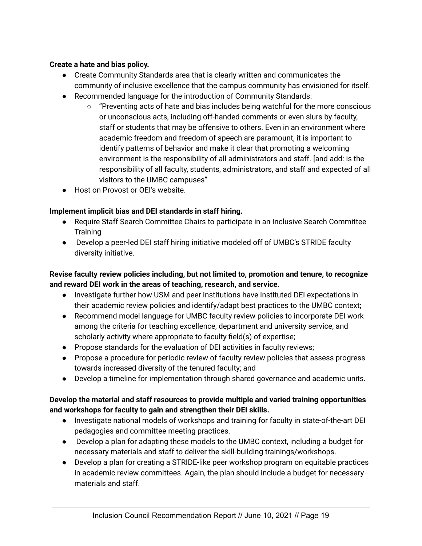# **Create a hate and bias policy.**

- Create Community Standards area that is clearly written and communicates the community of inclusive excellence that the campus community has envisioned for itself.
- Recommended language for the introduction of Community Standards:
	- $\circ$  "Preventing acts of hate and bias includes being watchful for the more conscious or unconscious acts, including off-handed comments or even slurs by faculty, staff or students that may be offensive to others. Even in an environment where academic freedom and freedom of speech are paramount, it is important to identify patterns of behavior and make it clear that promoting a welcoming environment is the responsibility of all administrators and staff. [and add: is the responsibility of all faculty, students, administrators, and staff and expected of all visitors to the UMBC campuses"
- Host on Provost or OEI's website.

# **Implement implicit bias and DEI standards in staff hiring.**

- Require Staff Search Committee Chairs to participate in an Inclusive Search Committee **Training**
- Develop a peer-led DEI staff hiring initiative modeled off of UMBC's STRIDE faculty diversity initiative.

# **Revise faculty review policies including, but not limited to, promotion and tenure, to recognize and reward DEI work in the areas of teaching, research, and service.**

- Investigate further how USM and peer institutions have instituted DEI expectations in their academic review policies and identify/adapt best practices to the UMBC context;
- Recommend model language for UMBC faculty review policies to incorporate DEI work among the criteria for teaching excellence, department and university service, and scholarly activity where appropriate to faculty field(s) of expertise;
- Propose standards for the evaluation of DEI activities in faculty reviews;
- Propose a procedure for periodic review of faculty review policies that assess progress towards increased diversity of the tenured faculty; and
- Develop a timeline for implementation through shared governance and academic units.

# **Develop the material and staff resources to provide multiple and varied training opportunities and workshops for faculty to gain and strengthen their DEI skills.**

- Investigate national models of workshops and training for faculty in state-of-the-art DEI pedagogies and committee meeting practices.
- Develop a plan for adapting these models to the UMBC context, including a budget for necessary materials and staff to deliver the skill-building trainings/workshops.
- Develop a plan for creating a STRIDE-like peer workshop program on equitable practices in academic review committees. Again, the plan should include a budget for necessary materials and staff.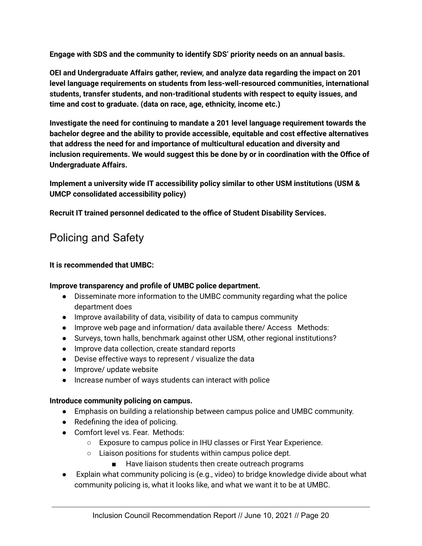**Engage with SDS and the community to identify SDS' priority needs on an annual basis.**

**OEI and Undergraduate Affairs gather, review, and analyze data regarding the impact on 201 level language requirements on students from less-well-resourced communities, international students, transfer students, and non-traditional students with respect to equity issues, and time and cost to graduate. (data on race, age, ethnicity, income etc.)**

**Investigate the need for continuing to mandate a 201 level language requirement towards the bachelor degree and the ability to provide accessible, equitable and cost effective alternatives that address the need for and importance of multicultural education and diversity and inclusion requirements. We would suggest this be done by or in coordination with the Office of Undergraduate Affairs.**

**Implement a university wide IT accessibility policy similar to other USM institutions (USM & UMCP consolidated accessibility policy)**

**Recruit IT trained personnel dedicated to the office of Student Disability Services.**

# <span id="page-19-0"></span>Policing and Safety

# **It is recommended that UMBC:**

# **Improve transparency and profile of UMBC police department.**

- Disseminate more information to the UMBC community regarding what the police department does
- Improve availability of data, visibility of data to campus community
- Improve web page and information/ data available there/ Access Methods:
- Surveys, town halls, benchmark against other USM, other regional institutions?
- Improve data collection, create standard reports
- Devise effective ways to represent / visualize the data
- Improve/ update website
- Increase number of ways students can interact with police

#### **Introduce community policing on campus.**

- Emphasis on building a relationship between campus police and UMBC community.
- Redefining the idea of policing.
- Comfort level vs. Fear. Methods:
	- Exposure to campus police in IHU classes or First Year Experience.
	- Liaison positions for students within campus police dept.
		- Have liaison students then create outreach programs
- Explain what community policing is (e.g., video) to bridge knowledge divide about what community policing is, what it looks like, and what we want it to be at UMBC.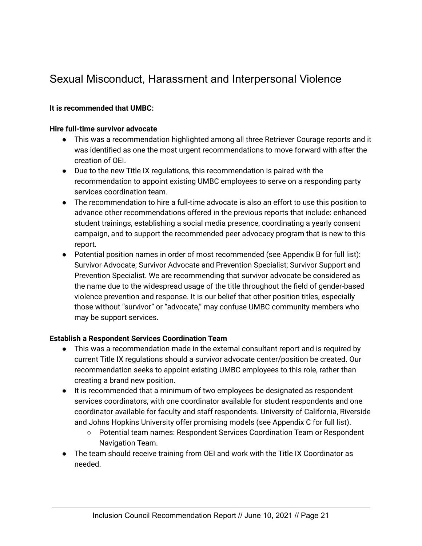# <span id="page-20-0"></span>Sexual Misconduct, Harassment and Interpersonal Violence

# **It is recommended that UMBC:**

#### **Hire full-time survivor advocate**

- This was a recommendation highlighted among all three Retriever Courage reports and it was identified as one the most urgent recommendations to move forward with after the creation of OEI.
- Due to the new Title IX regulations, this recommendation is paired with the recommendation to appoint existing UMBC employees to serve on a responding party services coordination team.
- The recommendation to hire a full-time advocate is also an effort to use this position to advance other recommendations offered in the previous reports that include: enhanced student trainings, establishing a social media presence, coordinating a yearly consent campaign, and to support the recommended peer advocacy program that is new to this report.
- Potential position names in order of most recommended (see Appendix B for full list): Survivor Advocate; Survivor Advocate and Prevention Specialist; Survivor Support and Prevention Specialist. We are recommending that survivor advocate be considered as the name due to the widespread usage of the title throughout the field of gender-based violence prevention and response. It is our belief that other position titles, especially those without "survivor" or "advocate," may confuse UMBC community members who may be support services.

#### **Establish a Respondent Services Coordination Team**

- This was a recommendation made in the external consultant report and is required by current Title IX regulations should a survivor advocate center/position be created. Our recommendation seeks to appoint existing UMBC employees to this role, rather than creating a brand new position.
- It is recommended that a minimum of two employees be designated as respondent services coordinators, with one coordinator available for student respondents and one coordinator available for faculty and staff respondents. University of California, Riverside and Johns Hopkins University offer promising models (see Appendix C for full list).
	- Potential team names: Respondent Services Coordination Team or Respondent Navigation Team.
- The team should receive training from OEI and work with the Title IX Coordinator as needed.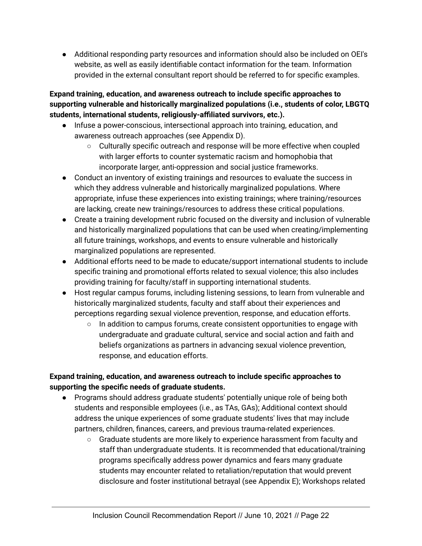● Additional responding party resources and information should also be included on OEI's website, as well as easily identifiable contact information for the team. Information provided in the external consultant report should be referred to for specific examples.

# **Expand training, education, and awareness outreach to include specific approaches to supporting vulnerable and historically marginalized populations (i.e., students of color, LBGTQ students, international students, religiously-affiliated survivors, etc.).**

- Infuse a power-conscious, intersectional approach into training, education, and awareness outreach approaches (see Appendix D).
	- Culturally specific outreach and response will be more effective when coupled with larger efforts to counter systematic racism and homophobia that incorporate larger, anti-oppression and social justice frameworks.
- Conduct an inventory of existing trainings and resources to evaluate the success in which they address vulnerable and historically marginalized populations. Where appropriate, infuse these experiences into existing trainings; where training/resources are lacking, create new trainings/resources to address these critical populations.
- Create a training development rubric focused on the diversity and inclusion of vulnerable and historically marginalized populations that can be used when creating/implementing all future trainings, workshops, and events to ensure vulnerable and historically marginalized populations are represented.
- Additional efforts need to be made to educate/support international students to include specific training and promotional efforts related to sexual violence; this also includes providing training for faculty/staff in supporting international students.
- Host regular campus forums, including listening sessions, to learn from vulnerable and historically marginalized students, faculty and staff about their experiences and perceptions regarding sexual violence prevention, response, and education efforts.
	- $\circ$  In addition to campus forums, create consistent opportunities to engage with undergraduate and graduate cultural, service and social action and faith and beliefs organizations as partners in advancing sexual violence prevention, response, and education efforts.

# **Expand training, education, and awareness outreach to include specific approaches to supporting the specific needs of graduate students.**

- Programs should address graduate students' potentially unique role of being both students and responsible employees (i.e., as TAs, GAs); Additional context should address the unique experiences of some graduate students' lives that may include partners, children, finances, careers, and previous trauma-related experiences.
	- Graduate students are more likely to experience harassment from faculty and staff than undergraduate students. It is recommended that educational/training programs specifically address power dynamics and fears many graduate students may encounter related to retaliation/reputation that would prevent disclosure and foster institutional betrayal (see Appendix E); Workshops related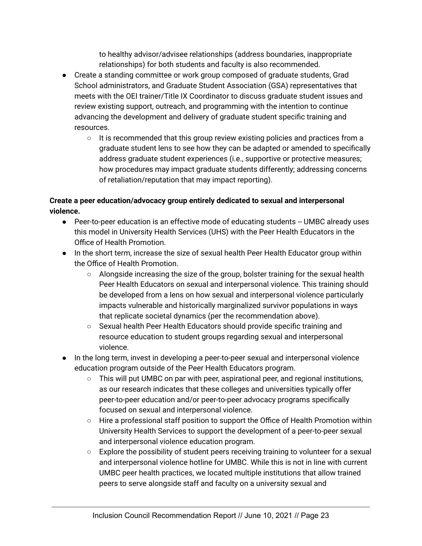to healthy advisor/advisee relationships (address boundaries, inappropriate relationships) for both students and faculty is also recommended.

- Create a standing committee or work group composed of graduate students, Grad School administrators, and Graduate Student Association (GSA) representatives that meets with the OEI trainer/Title IX Coordinator to discuss graduate student issues and review existing support, outreach, and programming with the intention to continue advancing the development and delivery of graduate student specific training and resources.
	- It is recommended that this group review existing policies and practices from a graduate student lens to see how they can be adapted or amended to specifically address graduate student experiences (i.e., supportive or protective measures; how procedures may impact graduate students differently; addressing concerns of retaliation/reputation that may impact reporting).

# **Create a peer education/advocacy group entirely dedicated to sexual and interpersonal violence.**

- Peer-to-peer education is an effective mode of educating students -- UMBC already uses this model in University Health Services (UHS) with the Peer Health Educators in the Office of Health Promotion.
- In the short term, increase the size of sexual health Peer Health Educator group within the Office of Health Promotion.
	- $\circ$  Alongside increasing the size of the group, bolster training for the sexual health Peer Health Educators on sexual and interpersonal violence. This training should be developed from a lens on how sexual and interpersonal violence particularly impacts vulnerable and historically marginalized survivor populations in ways that replicate societal dynamics (per the recommendation above).
	- Sexual health Peer Health Educators should provide specific training and resource education to student groups regarding sexual and interpersonal violence.
- In the long term, invest in developing a peer-to-peer sexual and interpersonal violence education program outside of the Peer Health Educators program.
	- $\circ$  This will put UMBC on par with peer, aspirational peer, and regional institutions, as our research indicates that these colleges and universities typically offer peer-to-peer education and/or peer-to-peer advocacy programs specifically focused on sexual and interpersonal violence.
	- Hire a professional staff position to support the Office of Health Promotion within University Health Services to support the development of a peer-to-peer sexual and interpersonal violence education program.
	- Explore the possibility of student peers receiving training to volunteer for a sexual and interpersonal violence hotline for UMBC. While this is not in line with current UMBC peer health practices, we located multiple institutions that allow trained peers to serve alongside staff and faculty on a university sexual and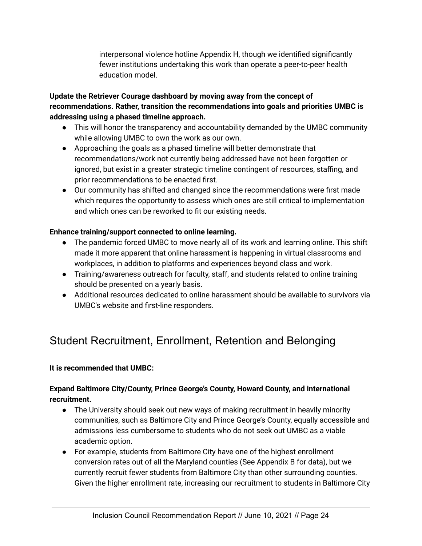interpersonal violence hotline Appendix H, though we identified significantly fewer institutions undertaking this work than operate a peer-to-peer health education model.

# **Update the Retriever Courage dashboard by moving away from the concept of recommendations. Rather, transition the recommendations into goals and priorities UMBC is addressing using a phased timeline approach.**

- This will honor the transparency and accountability demanded by the UMBC community while allowing UMBC to own the work as our own.
- Approaching the goals as a phased timeline will better demonstrate that recommendations/work not currently being addressed have not been forgotten or ignored, but exist in a greater strategic timeline contingent of resources, staffing, and prior recommendations to be enacted first.
- Our community has shifted and changed since the recommendations were first made which requires the opportunity to assess which ones are still critical to implementation and which ones can be reworked to fit our existing needs.

# **Enhance training/support connected to online learning.**

- The pandemic forced UMBC to move nearly all of its work and learning online. This shift made it more apparent that online harassment is happening in virtual classrooms and workplaces, in addition to platforms and experiences beyond class and work.
- Training/awareness outreach for faculty, staff, and students related to online training should be presented on a yearly basis.
- Additional resources dedicated to online harassment should be available to survivors via UMBC's website and first-line responders.

# <span id="page-23-0"></span>Student Recruitment, Enrollment, Retention and Belonging

# **It is recommended that UMBC:**

# **Expand Baltimore City/County, Prince George's County, Howard County, and international recruitment.**

- The University should seek out new ways of making recruitment in heavily minority communities, such as Baltimore City and Prince George's County, equally accessible and admissions less cumbersome to students who do not seek out UMBC as a viable academic option.
- For example, students from Baltimore City have one of the highest enrollment conversion rates out of all the Maryland counties (See Appendix B for data), but we currently recruit fewer students from Baltimore City than other surrounding counties. Given the higher enrollment rate, increasing our recruitment to students in Baltimore City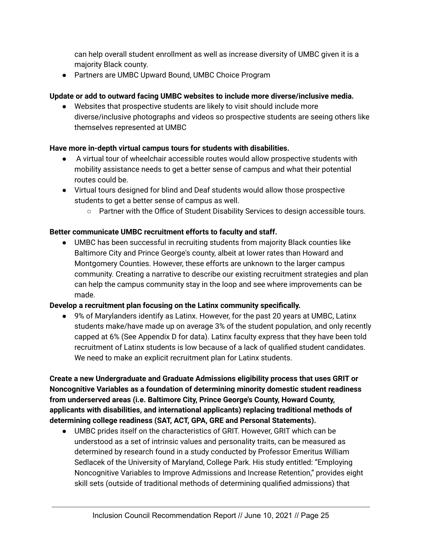can help overall student enrollment as well as increase diversity of UMBC given it is a majority Black county.

● Partners are UMBC Upward Bound, UMBC Choice Program

# **Update or add to outward facing UMBC websites to include more diverse/inclusive media.**

● Websites that prospective students are likely to visit should include more diverse/inclusive photographs and videos so prospective students are seeing others like themselves represented at UMBC

# **Have more in-depth virtual campus tours for students with disabilities.**

- A virtual tour of wheelchair accessible routes would allow prospective students with mobility assistance needs to get a better sense of campus and what their potential routes could be.
- Virtual tours designed for blind and Deaf students would allow those prospective students to get a better sense of campus as well.
	- Partner with the Office of Student Disability Services to design accessible tours.

# **Better communicate UMBC recruitment efforts to faculty and staff.**

● UMBC has been successful in recruiting students from majority Black counties like Baltimore City and Prince George's county, albeit at lower rates than Howard and Montgomery Counties. However, these efforts are unknown to the larger campus community. Creating a narrative to describe our existing recruitment strategies and plan can help the campus community stay in the loop and see where improvements can be made.

# **Develop a recruitment plan focusing on the Latinx community specifically.**

● 9% of Marylanders identify as Latinx. However, for the past 20 years at UMBC, Latinx students make/have made up on average 3% of the student population, and only recently capped at 6% (See Appendix D for data). Latinx faculty express that they have been told recruitment of Latinx students is low because of a lack of qualified student candidates. We need to make an explicit recruitment plan for Latinx students.

**Create a new Undergraduate and Graduate Admissions eligibility process that uses GRIT or Noncognitive Variables as a foundation of determining minority domestic student readiness from underserved areas (i.e. Baltimore City, Prince George's County, Howard County, applicants with disabilities, and international applicants) replacing traditional methods of determining college readiness (SAT, ACT, GPA, GRE and Personal Statements).**

● UMBC prides itself on the characteristics of GRIT. However, GRIT which can be understood as a set of intrinsic values and personality traits, can be measured as determined by research found in a study conducted by Professor Emeritus William Sedlacek of the University of Maryland, College Park. His study entitled: "Employing Noncognitive Variables to Improve Admissions and Increase Retention," provides eight skill sets (outside of traditional methods of determining qualified admissions) that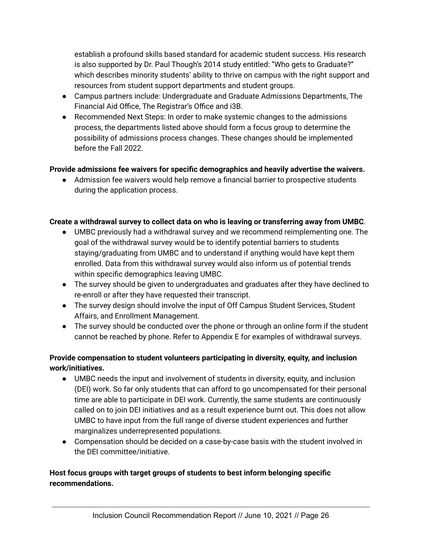establish a profound skills based standard for academic student success. His research is also supported by Dr. Paul Though's 2014 study entitled: "Who gets to Graduate?" which describes minority students' ability to thrive on campus with the right support and resources from student support departments and student groups.

- Campus partners include: Undergraduate and Graduate Admissions Departments, The Financial Aid Office, The Registrar's Office and i3B.
- Recommended Next Steps: In order to make systemic changes to the admissions process, the departments listed above should form a focus group to determine the possibility of admissions process changes. These changes should be implemented before the Fall 2022.

# **Provide admissions fee waivers for specific demographics and heavily advertise the waivers.**

● Admission fee waivers would help remove a financial barrier to prospective students during the application process.

# **Create a withdrawal survey to collect data on who is leaving or transferring away from UMBC**.

- UMBC previously had a withdrawal survey and we recommend reimplementing one. The goal of the withdrawal survey would be to identify potential barriers to students staying/graduating from UMBC and to understand if anything would have kept them enrolled. Data from this withdrawal survey would also inform us of potential trends within specific demographics leaving UMBC.
- The survey should be given to undergraduates and graduates after they have declined to re-enroll or after they have requested their transcript.
- The survey design should involve the input of Off Campus Student Services, Student Affairs, and Enrollment Management.
- The survey should be conducted over the phone or through an online form if the student cannot be reached by phone. Refer to Appendix E for examples of withdrawal surveys.

# **Provide compensation to student volunteers participating in diversity, equity, and inclusion work/initiatives.**

- UMBC needs the input and involvement of students in diversity, equity, and inclusion (DEI) work. So far only students that can afford to go uncompensated for their personal time are able to participate in DEI work. Currently, the same students are continuously called on to join DEI initiatives and as a result experience burnt out. This does not allow UMBC to have input from the full range of diverse student experiences and further marginalizes underrepresented populations.
- Compensation should be decided on a case-by-case basis with the student involved in the DEI committee/initiative.

# **Host focus groups with target groups of students to best inform belonging specific recommendations.**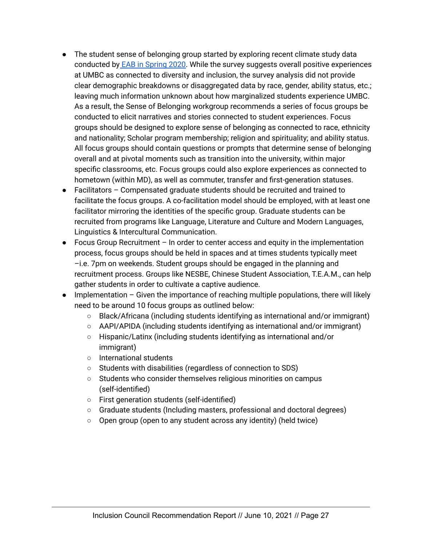- The student sense of belonging group started by exploring recent climate study data conducted by EAB in [Spring](https://umbc.box.com/s/5627qc2b5at6jieaw8m23xmc9oamrr1i) 2020. While the survey suggests overall positive experiences at UMBC as connected to diversity and inclusion, the survey analysis did not provide clear demographic breakdowns or disaggregated data by race, gender, ability status, etc.; leaving much information unknown about how marginalized students experience UMBC. As a result, the Sense of Belonging workgroup recommends a series of focus groups be conducted to elicit narratives and stories connected to student experiences. Focus groups should be designed to explore sense of belonging as connected to race, ethnicity and nationality; Scholar program membership; religion and spirituality; and ability status. All focus groups should contain questions or prompts that determine sense of belonging overall and at pivotal moments such as transition into the university, within major specific classrooms, etc. Focus groups could also explore experiences as connected to hometown (within MD), as well as commuter, transfer and first-generation statuses.
- Facilitators Compensated graduate students should be recruited and trained to facilitate the focus groups. A co-facilitation model should be employed, with at least one facilitator mirroring the identities of the specific group. Graduate students can be recruited from programs like Language, Literature and Culture and Modern Languages, Linguistics & Intercultural Communication.
- Focus Group Recruitment In order to center access and equity in the implementation process, focus groups should be held in spaces and at times students typically meet –i.e. 7pm on weekends. Student groups should be engaged in the planning and recruitment process. Groups like NESBE, Chinese Student Association, T.E.A.M., can help gather students in order to cultivate a captive audience.
- Implementation Given the importance of reaching multiple populations, there will likely need to be around 10 focus groups as outlined below:
	- Black/Africana (including students identifying as international and/or immigrant)
	- $\circ$  AAPI/APIDA (including students identifying as international and/or immigrant)
	- Hispanic/Latinx (including students identifying as international and/or immigrant)
	- International students
	- Students with disabilities (regardless of connection to SDS)
	- Students who consider themselves religious minorities on campus (self-identified)
	- First generation students (self-identified)
	- Graduate students (Including masters, professional and doctoral degrees)
	- Open group (open to any student across any identity) (held twice)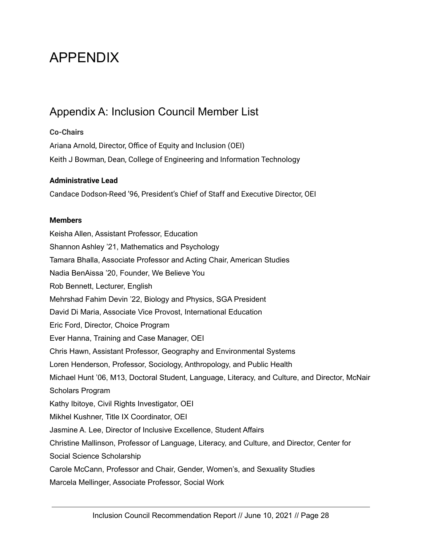# <span id="page-27-0"></span>APPENDIX

# <span id="page-27-1"></span>Appendix A: Inclusion Council Member List

# **Co-Chairs**

Ariana Arnold, Director, Office of Equity and Inclusion (OEI) Keith J Bowman, Dean, College of Engineering and Information Technology

# **Administrative Lead**

Candace Dodson-Reed '96, President's Chief of Staff and Executive Director, OEI

# **Members**

Keisha Allen, Assistant Professor, Education Shannon Ashley '21, Mathematics and Psychology Tamara Bhalla, Associate Professor and Acting Chair, American Studies Nadia BenAissa '20, Founder, We Believe You Rob Bennett, Lecturer, English Mehrshad Fahim Devin '22, Biology and Physics, SGA President David Di Maria, Associate Vice Provost, International Education Eric Ford, Director, Choice Program Ever Hanna, Training and Case Manager, OEI Chris Hawn, Assistant Professor, Geography and Environmental Systems Loren Henderson, Professor, Sociology, Anthropology, and Public Health Michael Hunt '06, M13, Doctoral Student, Language, Literacy, and Culture, and Director, McNair Scholars Program Kathy Ibitoye, Civil Rights Investigator, OEI Mikhel Kushner, Title IX Coordinator, OEI Jasmine A. Lee, Director of Inclusive Excellence, Student Affairs Christine Mallinson, Professor of Language, Literacy, and Culture, and Director, Center for Social Science Scholarship Carole McCann, Professor and Chair, Gender, Women's, and Sexuality Studies Marcela Mellinger, Associate Professor, Social Work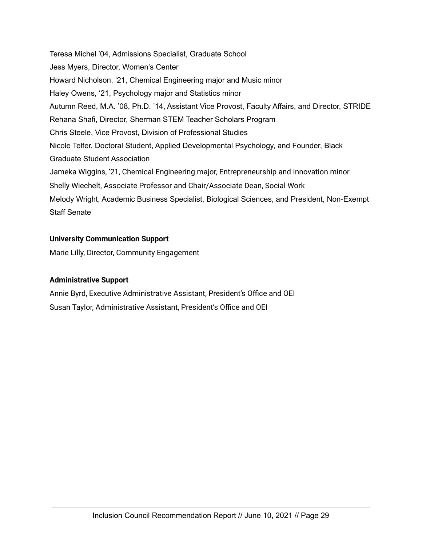Teresa Michel '04, Admissions Specialist, Graduate School Jess Myers, Director, Women's Center Howard Nicholson, '21, Chemical Engineering major and Music minor Haley Owens, '21, Psychology major and Statistics minor Autumn Reed, M.A. '08, Ph.D. '14, Assistant Vice Provost, Faculty Affairs, and Director, STRIDE Rehana Shafi, Director, Sherman STEM Teacher Scholars Program Chris Steele, Vice Provost, Division of Professional Studies Nicole Telfer, Doctoral Student, Applied Developmental Psychology, and Founder, Black Graduate Student Association Jameka Wiggins, '21, Chemical Engineering major, Entrepreneurship and Innovation minor Shelly Wiechelt, Associate Professor and Chair/Associate Dean, Social Work Melody Wright, Academic Business Specialist, Biological Sciences, and President, Non-Exempt Staff Senate

# **University Communication Support**

Marie Lilly, Director, Community Engagement

#### **Administrative Support**

Annie Byrd, Executive Administrative Assistant, President's Office and OEI Susan Taylor, Administrative Assistant, President's Office and OEI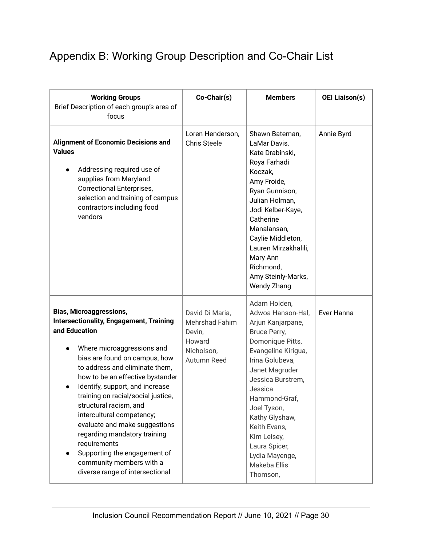# <span id="page-29-0"></span>Appendix B: Working Group Description and Co-Chair List

| <b>Working Groups</b><br>Brief Description of each group's area of<br>focus                                                                                                                                                                                                                                                                                                                                                                                                                                                                            | Co-Chair(s)                                                                        | <b>Members</b>                                                                                                                                                                                                                                                                                                                         | <b>OEI Liaison(s)</b> |
|--------------------------------------------------------------------------------------------------------------------------------------------------------------------------------------------------------------------------------------------------------------------------------------------------------------------------------------------------------------------------------------------------------------------------------------------------------------------------------------------------------------------------------------------------------|------------------------------------------------------------------------------------|----------------------------------------------------------------------------------------------------------------------------------------------------------------------------------------------------------------------------------------------------------------------------------------------------------------------------------------|-----------------------|
| <b>Alignment of Economic Decisions and</b><br><b>Values</b><br>Addressing required use of<br>supplies from Maryland<br><b>Correctional Enterprises,</b><br>selection and training of campus<br>contractors including food<br>vendors                                                                                                                                                                                                                                                                                                                   | Loren Henderson,<br><b>Chris Steele</b>                                            | Shawn Bateman,<br>LaMar Davis,<br>Kate Drabinski,<br>Roya Farhadi<br>Koczak,<br>Amy Froide,<br>Ryan Gunnison,<br>Julian Holman,<br>Jodi Kelber-Kaye,<br>Catherine<br>Manalansan,<br>Caylie Middleton,<br>Lauren Mirzakhalili,<br>Mary Ann<br>Richmond,<br>Amy Steinly-Marks,<br><b>Wendy Zhang</b>                                     | Annie Byrd            |
| <b>Bias, Microaggressions,</b><br><b>Intersectionality, Engagement, Training</b><br>and Education<br>Where microaggressions and<br>bias are found on campus, how<br>to address and eliminate them.<br>how to be an effective bystander<br>Identify, support, and increase<br>training on racial/social justice,<br>structural racism, and<br>intercultural competency;<br>evaluate and make suggestions<br>regarding mandatory training<br>requirements<br>Supporting the engagement of<br>community members with a<br>diverse range of intersectional | David Di Maria,<br>Mehrshad Fahim<br>Devin,<br>Howard<br>Nicholson,<br>Autumn Reed | Adam Holden,<br>Adwoa Hanson-Hal,<br>Arjun Kanjarpane,<br>Bruce Perry,<br>Domonique Pitts,<br>Evangeline Kirigua,<br>Irina Golubeva,<br>Janet Magruder<br>Jessica Burstrem,<br>Jessica<br>Hammond-Graf,<br>Joel Tyson,<br>Kathy Glyshaw,<br>Keith Evans,<br>Kim Leisey,<br>Laura Spicer,<br>Lydia Mayenge,<br>Makeba Ellis<br>Thomson, | Ever Hanna            |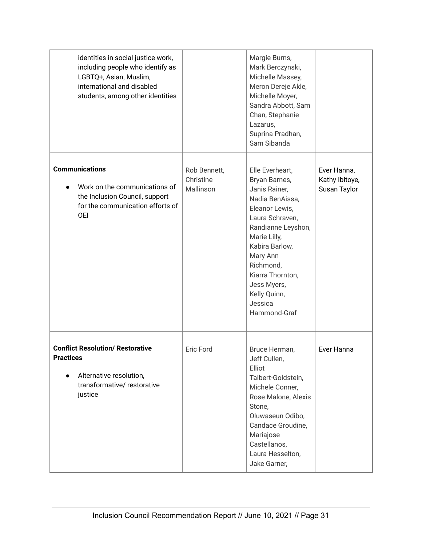| identities in social justice work,<br>including people who identify as<br>LGBTQ+, Asian, Muslim,<br>international and disabled<br>students, among other identities |                                        | Margie Burns,<br>Mark Berczynski,<br>Michelle Massey,<br>Meron Dereje Akle,<br>Michelle Moyer,<br>Sandra Abbott, Sam<br>Chan, Stephanie<br>Lazarus,<br>Suprina Pradhan,<br>Sam Sibanda                                                                                   |                                               |
|--------------------------------------------------------------------------------------------------------------------------------------------------------------------|----------------------------------------|--------------------------------------------------------------------------------------------------------------------------------------------------------------------------------------------------------------------------------------------------------------------------|-----------------------------------------------|
| <b>Communications</b><br>Work on the communications of<br>the Inclusion Council, support<br>for the communication efforts of<br><b>OEI</b>                         | Rob Bennett,<br>Christine<br>Mallinson | Elle Everheart,<br>Bryan Barnes,<br>Janis Rainer,<br>Nadia BenAissa,<br>Eleanor Lewis,<br>Laura Schraven,<br>Randianne Leyshon,<br>Marie Lilly,<br>Kabira Barlow,<br>Mary Ann<br>Richmond,<br>Kiarra Thornton,<br>Jess Myers,<br>Kelly Quinn,<br>Jessica<br>Hammond-Graf | Ever Hanna,<br>Kathy Ibitoye,<br>Susan Taylor |
| <b>Conflict Resolution/ Restorative</b><br><b>Practices</b><br>Alternative resolution,<br>transformative/restorative<br>justice                                    | Eric Ford                              | Bruce Herman,<br>Jeff Cullen,<br>Elliot<br>Talbert-Goldstein,<br>Michele Conner,<br>Rose Malone, Alexis<br>Stone,<br>Oluwaseun Odibo,<br>Candace Groudine,<br>Mariajose<br>Castellanos,<br>Laura Hesselton,<br>Jake Garner,                                              | Ever Hanna                                    |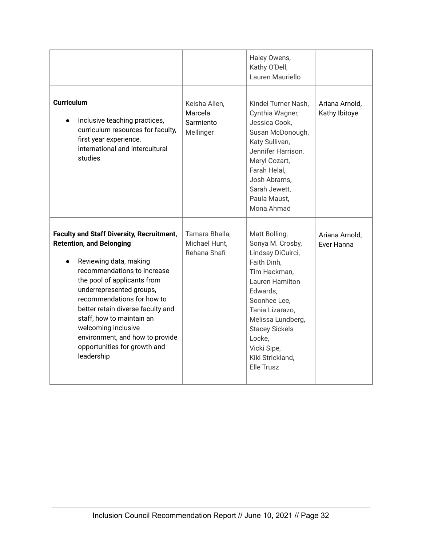|                                                                                                                                                                                                                                                                                                                                                                                                                 |                                                    | Haley Owens,<br>Kathy O'Dell,<br>Lauren Mauriello                                                                                                                                                                                                                       |                                 |
|-----------------------------------------------------------------------------------------------------------------------------------------------------------------------------------------------------------------------------------------------------------------------------------------------------------------------------------------------------------------------------------------------------------------|----------------------------------------------------|-------------------------------------------------------------------------------------------------------------------------------------------------------------------------------------------------------------------------------------------------------------------------|---------------------------------|
| <b>Curriculum</b><br>Inclusive teaching practices,<br>curriculum resources for faculty,<br>first year experience,<br>international and intercultural<br>studies                                                                                                                                                                                                                                                 | Keisha Allen,<br>Marcela<br>Sarmiento<br>Mellinger | Kindel Turner Nash,<br>Cynthia Wagner,<br>Jessica Cook,<br>Susan McDonough,<br>Katy Sullivan,<br>Jennifer Harrison,<br>Meryl Cozart,<br>Farah Helal,<br>Josh Abrams,<br>Sarah Jewett,<br>Paula Maust,<br>Mona Ahmad                                                     | Ariana Arnold,<br>Kathy Ibitoye |
| <b>Faculty and Staff Diversity, Recruitment,</b><br><b>Retention, and Belonging</b><br>Reviewing data, making<br>recommendations to increase<br>the pool of applicants from<br>underrepresented groups,<br>recommendations for how to<br>better retain diverse faculty and<br>staff, how to maintain an<br>welcoming inclusive<br>environment, and how to provide<br>opportunities for growth and<br>leadership | Tamara Bhalla,<br>Michael Hunt,<br>Rehana Shafi    | Matt Bolling,<br>Sonya M. Crosby,<br>Lindsay DiCuirci,<br>Faith Dinh,<br>Tim Hackman,<br><b>Lauren Hamilton</b><br>Edwards,<br>Soonhee Lee,<br>Tania Lizarazo,<br>Melissa Lundberg,<br><b>Stacey Sickels</b><br>Locke,<br>Vicki Sipe,<br>Kiki Strickland,<br>Elle Trusz | Ariana Arnold,<br>Ever Hanna    |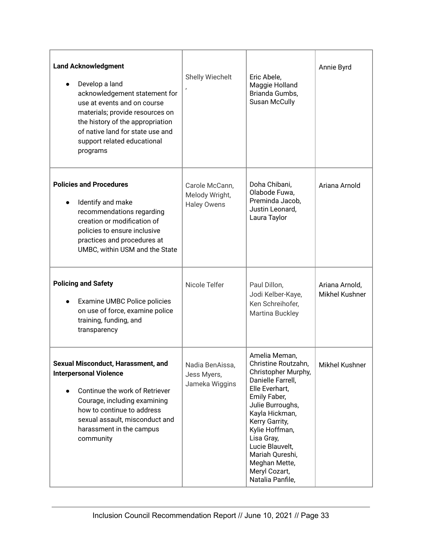| <b>Land Acknowledgment</b><br>Develop a land<br>acknowledgement statement for<br>use at events and on course<br>materials; provide resources on<br>the history of the appropriation<br>of native land for state use and<br>support related educational<br>programs | Shelly Wiechelt                                        | Eric Abele,<br>Maggie Holland<br>Brianda Gumbs,<br><b>Susan McCully</b>                                                                                                                                                                                                                                | Annie Byrd                              |
|--------------------------------------------------------------------------------------------------------------------------------------------------------------------------------------------------------------------------------------------------------------------|--------------------------------------------------------|--------------------------------------------------------------------------------------------------------------------------------------------------------------------------------------------------------------------------------------------------------------------------------------------------------|-----------------------------------------|
| <b>Policies and Procedures</b><br>Identify and make<br>recommendations regarding<br>creation or modification of<br>policies to ensure inclusive<br>practices and procedures at<br>UMBC, within USM and the State                                                   | Carole McCann,<br>Melody Wright,<br><b>Haley Owens</b> | Doha Chibani,<br>Olabode Fuwa,<br>Preminda Jacob,<br>Justin Leonard,<br>Laura Taylor                                                                                                                                                                                                                   | Ariana Arnold                           |
| <b>Policing and Safety</b><br>Examine UMBC Police policies<br>on use of force, examine police<br>training, funding, and<br>transparency                                                                                                                            | Nicole Telfer                                          | Paul Dillon,<br>Jodi Kelber-Kaye,<br>Ken Schreihofer,<br>Martina Buckley                                                                                                                                                                                                                               | Ariana Arnold,<br><b>Mikhel Kushner</b> |
| Sexual Misconduct, Harassment, and<br><b>Interpersonal Violence</b><br>Continue the work of Retriever<br>Courage, including examining<br>how to continue to address<br>sexual assault, misconduct and<br>harassment in the campus<br>community                     | Nadia BenAissa,<br>Jess Myers,<br>Jameka Wiggins       | Amelia Meman,<br>Christine Routzahn,<br>Christopher Murphy,<br>Danielle Farrell,<br>Elle Everhart,<br>Emily Faber,<br>Julie Burroughs,<br>Kayla Hickman,<br>Kerry Garrity,<br>Kylie Hoffman,<br>Lisa Gray,<br>Lucie Blauvelt,<br>Mariah Qureshi,<br>Meghan Mette,<br>Meryl Cozart,<br>Natalia Panfile, | Mikhel Kushner                          |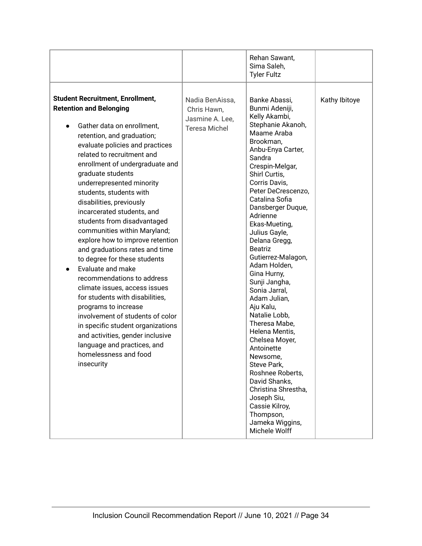|                                                                                                                                                                                                                                                                                                                                                                                                                                                                                                                                                                                                                                                                                                                                                                                                                                                                                                      |                                                                           | Rehan Sawant,<br>Sima Saleh,<br><b>Tyler Fultz</b>                                                                                                                                                                                                                                                                                                                                                                                                                                                                                                                                                                                                                                                                   |               |
|------------------------------------------------------------------------------------------------------------------------------------------------------------------------------------------------------------------------------------------------------------------------------------------------------------------------------------------------------------------------------------------------------------------------------------------------------------------------------------------------------------------------------------------------------------------------------------------------------------------------------------------------------------------------------------------------------------------------------------------------------------------------------------------------------------------------------------------------------------------------------------------------------|---------------------------------------------------------------------------|----------------------------------------------------------------------------------------------------------------------------------------------------------------------------------------------------------------------------------------------------------------------------------------------------------------------------------------------------------------------------------------------------------------------------------------------------------------------------------------------------------------------------------------------------------------------------------------------------------------------------------------------------------------------------------------------------------------------|---------------|
| <b>Student Recruitment, Enrollment,</b><br><b>Retention and Belonging</b><br>Gather data on enrollment.<br>$\bullet$<br>retention, and graduation;<br>evaluate policies and practices<br>related to recruitment and<br>enrollment of undergraduate and<br>graduate students<br>underrepresented minority<br>students, students with<br>disabilities, previously<br>incarcerated students, and<br>students from disadvantaged<br>communities within Maryland;<br>explore how to improve retention<br>and graduations rates and time<br>to degree for these students<br>Evaluate and make<br>recommendations to address<br>climate issues, access issues<br>for students with disabilities,<br>programs to increase<br>involvement of students of color<br>in specific student organizations<br>and activities, gender inclusive<br>language and practices, and<br>homelessness and food<br>insecurity | Nadia BenAissa,<br>Chris Hawn,<br>Jasmine A. Lee,<br><b>Teresa Michel</b> | Banke Abassi,<br>Bunmi Adeniji,<br>Kelly Akambi,<br>Stephanie Akanoh,<br>Maame Araba<br>Brookman,<br>Anbu-Enya Carter,<br>Sandra<br>Crespin-Melgar,<br>Shirl Curtis,<br>Corris Davis,<br>Peter DeCrescenzo,<br>Catalina Sofia<br>Dansberger Duque,<br>Adrienne<br>Ekas-Mueting,<br>Julius Gayle,<br>Delana Gregg,<br><b>Beatriz</b><br>Gutierrez-Malagon,<br>Adam Holden,<br>Gina Hurny,<br>Sunji Jangha,<br>Sonia Jarral,<br>Adam Julian,<br>Aju Kalu,<br>Natalie Lobb,<br>Theresa Mabe,<br>Helena Mentis,<br>Chelsea Moyer,<br>Antoinette<br>Newsome.<br>Steve Park,<br>Roshnee Roberts,<br>David Shanks,<br>Christina Shrestha,<br>Joseph Siu,<br>Cassie Kilroy,<br>Thompson,<br>Jameka Wiggins,<br>Michele Wolff | Kathy Ibitoye |